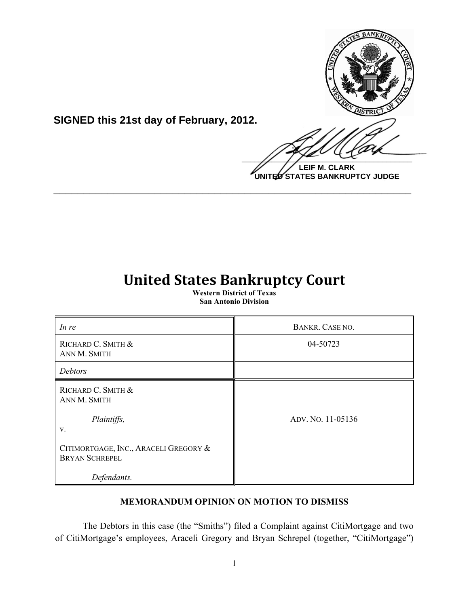

**SIGNED this 21st day of February, 2012.**

**LEIF M. CLARK UNITED STATES BANKRUPTCY JUDGE**

# **United States Bankruptcy Court**

**\_\_\_\_\_\_\_\_\_\_\_\_\_\_\_\_\_\_\_\_\_\_\_\_\_\_\_\_\_\_\_\_\_\_\_\_\_\_\_\_\_\_\_\_\_\_\_\_\_\_\_\_\_\_\_\_\_\_\_\_**

**Western District of Texas San Antonio Division**

| In re                                                          | BANKR. CASE NO.   |
|----------------------------------------------------------------|-------------------|
| RICHARD C. SMITH &<br>ANN M. SMITH                             | 04-50723          |
| Debtors                                                        |                   |
| RICHARD C. SMITH &<br>ANN M. SMITH                             |                   |
| Plaintiffs,<br>V.                                              | ADV. NO. 11-05136 |
| CITIMORTGAGE, INC., ARACELI GREGORY &<br><b>BRYAN SCHREPEL</b> |                   |
| Defendants.                                                    |                   |

## **MEMORANDUM OPINION ON MOTION TO DISMISS**

The Debtors in this case (the "Smiths") filed a Complaint against CitiMortgage and two of CitiMortgage's employees, Araceli Gregory and Bryan Schrepel (together, "CitiMortgage")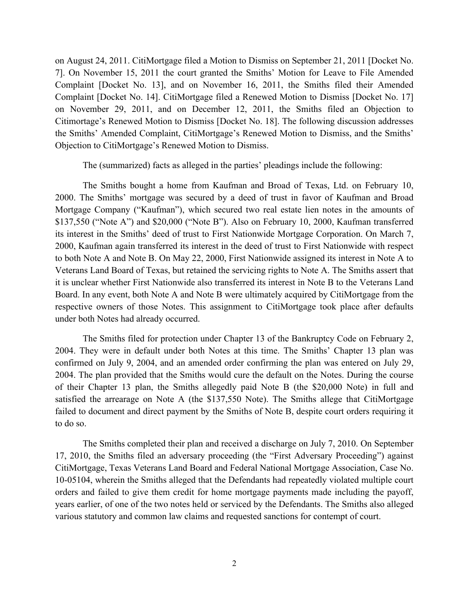on August 24, 2011. CitiMortgage filed a Motion to Dismiss on September 21, 2011 [Docket No. 7]. On November 15, 2011 the court granted the Smiths' Motion for Leave to File Amended Complaint [Docket No. 13], and on November 16, 2011, the Smiths filed their Amended Complaint [Docket No. 14]. CitiMortgage filed a Renewed Motion to Dismiss [Docket No. 17] on November 29, 2011, and on December 12, 2011, the Smiths filed an Objection to Citimortage's Renewed Motion to Dismiss [Docket No. 18]. The following discussion addresses the Smiths' Amended Complaint, CitiMortgage's Renewed Motion to Dismiss, and the Smiths' Objection to CitiMortgage's Renewed Motion to Dismiss.

The (summarized) facts as alleged in the parties' pleadings include the following:

The Smiths bought a home from Kaufman and Broad of Texas, Ltd. on February 10, 2000. The Smiths' mortgage was secured by a deed of trust in favor of Kaufman and Broad Mortgage Company ("Kaufman"), which secured two real estate lien notes in the amounts of \$137,550 ("Note A") and \$20,000 ("Note B"). Also on February 10, 2000, Kaufman transferred its interest in the Smiths' deed of trust to First Nationwide Mortgage Corporation. On March 7, 2000, Kaufman again transferred its interest in the deed of trust to First Nationwide with respect to both Note A and Note B. On May 22, 2000, First Nationwide assigned its interest in Note A to Veterans Land Board of Texas, but retained the servicing rights to Note A. The Smiths assert that it is unclear whether First Nationwide also transferred its interest in Note B to the Veterans Land Board. In any event, both Note A and Note B were ultimately acquired by CitiMortgage from the respective owners of those Notes. This assignment to CitiMortgage took place after defaults under both Notes had already occurred.

The Smiths filed for protection under Chapter 13 of the Bankruptcy Code on February 2, 2004. They were in default under both Notes at this time. The Smiths' Chapter 13 plan was confirmed on July 9, 2004, and an amended order confirming the plan was entered on July 29, 2004. The plan provided that the Smiths would cure the default on the Notes. During the course of their Chapter 13 plan, the Smiths allegedly paid Note B (the \$20,000 Note) in full and satisfied the arrearage on Note A (the \$137,550 Note). The Smiths allege that CitiMortgage failed to document and direct payment by the Smiths of Note B, despite court orders requiring it to do so.

The Smiths completed their plan and received a discharge on July 7, 2010. On September 17, 2010, the Smiths filed an adversary proceeding (the "First Adversary Proceeding") against CitiMortgage, Texas Veterans Land Board and Federal National Mortgage Association, Case No. 10-05104, wherein the Smiths alleged that the Defendants had repeatedly violated multiple court orders and failed to give them credit for home mortgage payments made including the payoff, years earlier, of one of the two notes held or serviced by the Defendants. The Smiths also alleged various statutory and common law claims and requested sanctions for contempt of court.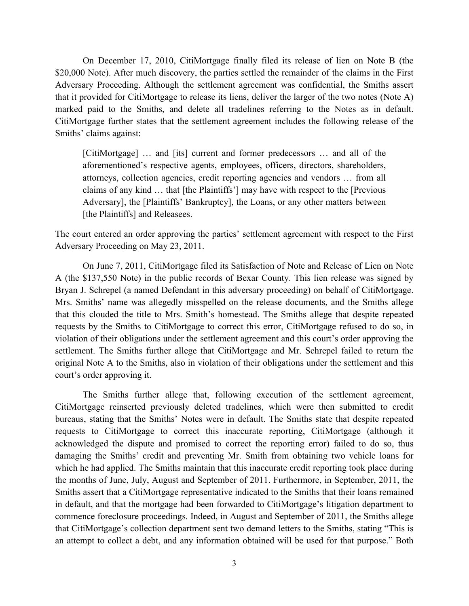On December 17, 2010, CitiMortgage finally filed its release of lien on Note B (the \$20,000 Note). After much discovery, the parties settled the remainder of the claims in the First Adversary Proceeding. Although the settlement agreement was confidential, the Smiths assert that it provided for CitiMortgage to release its liens, deliver the larger of the two notes (Note A) marked paid to the Smiths, and delete all tradelines referring to the Notes as in default. CitiMortgage further states that the settlement agreement includes the following release of the Smiths' claims against:

[CitiMortgage] … and [its] current and former predecessors … and all of the aforementioned's respective agents, employees, officers, directors, shareholders, attorneys, collection agencies, credit reporting agencies and vendors … from all claims of any kind … that [the Plaintiffs'] may have with respect to the [Previous Adversary], the [Plaintiffs' Bankruptcy], the Loans, or any other matters between [the Plaintiffs] and Releasees.

The court entered an order approving the parties' settlement agreement with respect to the First Adversary Proceeding on May 23, 2011.

On June 7, 2011, CitiMortgage filed its Satisfaction of Note and Release of Lien on Note A (the \$137,550 Note) in the public records of Bexar County. This lien release was signed by Bryan J. Schrepel (a named Defendant in this adversary proceeding) on behalf of CitiMortgage. Mrs. Smiths' name was allegedly misspelled on the release documents, and the Smiths allege that this clouded the title to Mrs. Smith's homestead. The Smiths allege that despite repeated requests by the Smiths to CitiMortgage to correct this error, CitiMortgage refused to do so, in violation of their obligations under the settlement agreement and this court's order approving the settlement. The Smiths further allege that CitiMortgage and Mr. Schrepel failed to return the original Note A to the Smiths, also in violation of their obligations under the settlement and this court's order approving it.

The Smiths further allege that, following execution of the settlement agreement, CitiMortgage reinserted previously deleted tradelines, which were then submitted to credit bureaus, stating that the Smiths' Notes were in default. The Smiths state that despite repeated requests to CitiMortgage to correct this inaccurate reporting, CitiMortgage (although it acknowledged the dispute and promised to correct the reporting error) failed to do so, thus damaging the Smiths' credit and preventing Mr. Smith from obtaining two vehicle loans for which he had applied. The Smiths maintain that this inaccurate credit reporting took place during the months of June, July, August and September of 2011. Furthermore, in September, 2011, the Smiths assert that a CitiMortgage representative indicated to the Smiths that their loans remained in default, and that the mortgage had been forwarded to CitiMortgage's litigation department to commence foreclosure proceedings. Indeed, in August and September of 2011, the Smiths allege that CitiMortgage's collection department sent two demand letters to the Smiths, stating "This is an attempt to collect a debt, and any information obtained will be used for that purpose." Both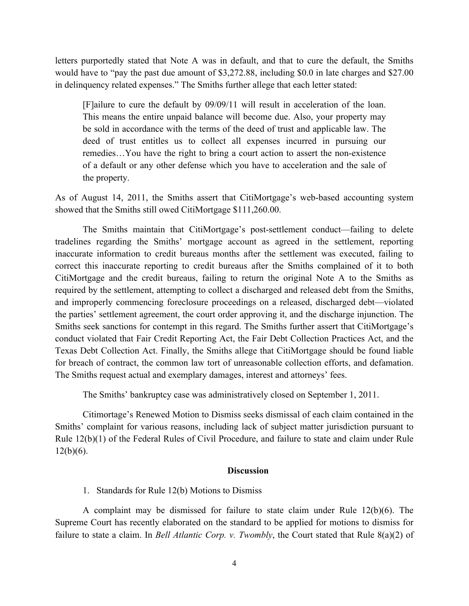letters purportedly stated that Note A was in default, and that to cure the default, the Smiths would have to "pay the past due amount of \$3,272.88, including \$0.0 in late charges and \$27.00 in delinquency related expenses." The Smiths further allege that each letter stated:

[F]ailure to cure the default by 09/09/11 will result in acceleration of the loan. This means the entire unpaid balance will become due. Also, your property may be sold in accordance with the terms of the deed of trust and applicable law. The deed of trust entitles us to collect all expenses incurred in pursuing our remedies…You have the right to bring a court action to assert the non-existence of a default or any other defense which you have to acceleration and the sale of the property.

As of August 14, 2011, the Smiths assert that CitiMortgage's web-based accounting system showed that the Smiths still owed CitiMortgage \$111,260.00.

The Smiths maintain that CitiMortgage's post-settlement conduct—failing to delete tradelines regarding the Smiths' mortgage account as agreed in the settlement, reporting inaccurate information to credit bureaus months after the settlement was executed, failing to correct this inaccurate reporting to credit bureaus after the Smiths complained of it to both CitiMortgage and the credit bureaus, failing to return the original Note A to the Smiths as required by the settlement, attempting to collect a discharged and released debt from the Smiths, and improperly commencing foreclosure proceedings on a released, discharged debt—violated the parties' settlement agreement, the court order approving it, and the discharge injunction. The Smiths seek sanctions for contempt in this regard. The Smiths further assert that CitiMortgage's conduct violated that Fair Credit Reporting Act, the Fair Debt Collection Practices Act, and the Texas Debt Collection Act. Finally, the Smiths allege that CitiMortgage should be found liable for breach of contract, the common law tort of unreasonable collection efforts, and defamation. The Smiths request actual and exemplary damages, interest and attorneys' fees.

The Smiths' bankruptcy case was administratively closed on September 1, 2011.

Citimortage's Renewed Motion to Dismiss seeks dismissal of each claim contained in the Smiths' complaint for various reasons, including lack of subject matter jurisdiction pursuant to Rule 12(b)(1) of the Federal Rules of Civil Procedure, and failure to state and claim under Rule  $12(b)(6)$ .

#### **Discussion**

1. Standards for Rule 12(b) Motions to Dismiss

A complaint may be dismissed for failure to state claim under Rule 12(b)(6). The Supreme Court has recently elaborated on the standard to be applied for motions to dismiss for failure to state a claim. In *Bell Atlantic Corp. v. Twombly*, the Court stated that Rule 8(a)(2) of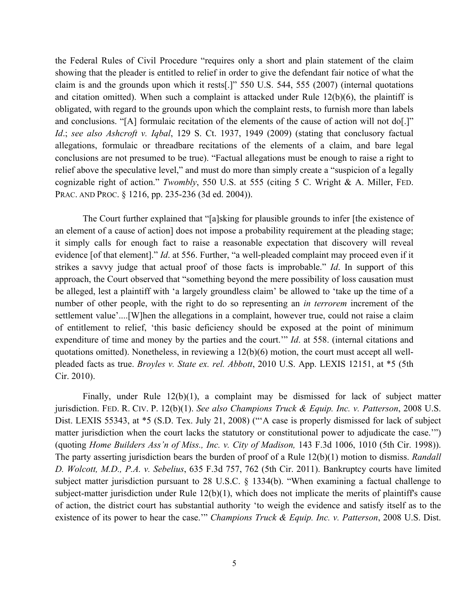the Federal Rules of Civil Procedure "requires only a short and plain statement of the claim showing that the pleader is entitled to relief in order to give the defendant fair notice of what the claim is and the grounds upon which it rests[.]" 550 U.S. 544, 555 (2007) (internal quotations and citation omitted). When such a complaint is attacked under Rule  $12(b)(6)$ , the plaintiff is obligated, with regard to the grounds upon which the complaint rests, to furnish more than labels and conclusions. "[A] formulaic recitation of the elements of the cause of action will not do[.]" *Id*.; *see also Ashcroft v. Iqbal*, 129 S. Ct. 1937, 1949 (2009) (stating that conclusory factual allegations, formulaic or threadbare recitations of the elements of a claim, and bare legal conclusions are not presumed to be true). "Factual allegations must be enough to raise a right to relief above the speculative level," and must do more than simply create a "suspicion of a legally cognizable right of action." *Twombly*, 550 U.S. at 555 (citing 5 C. Wright & A. Miller, FED. PRAC. AND PROC. § 1216, pp. 235-236 (3d ed. 2004)).

The Court further explained that "[a]sking for plausible grounds to infer [the existence of an element of a cause of action] does not impose a probability requirement at the pleading stage; it simply calls for enough fact to raise a reasonable expectation that discovery will reveal evidence [of that element]." *Id*. at 556. Further, "a well-pleaded complaint may proceed even if it strikes a savvy judge that actual proof of those facts is improbable." *Id*. In support of this approach, the Court observed that "something beyond the mere possibility of loss causation must be alleged, lest a plaintiff with 'a largely groundless claim' be allowed to 'take up the time of a number of other people, with the right to do so representing an *in terrorem* increment of the settlement value'....[W]hen the allegations in a complaint, however true, could not raise a claim of entitlement to relief, 'this basic deficiency should be exposed at the point of minimum expenditure of time and money by the parties and the court.'" *Id*. at 558. (internal citations and quotations omitted). Nonetheless, in reviewing a 12(b)(6) motion, the court must accept all wellpleaded facts as true. *Broyles v. State ex. rel. Abbott*, 2010 U.S. App. LEXIS 12151, at \*5 (5th Cir. 2010).

Finally, under Rule 12(b)(1), a complaint may be dismissed for lack of subject matter jurisdiction. FED. R. CIV. P. 12(b)(1). *See also Champions Truck & Equip. Inc. v. Patterson*, 2008 U.S. Dist. LEXIS 55343, at \*5 (S.D. Tex. July 21, 2008) ("A case is properly dismissed for lack of subject matter jurisdiction when the court lacks the statutory or constitutional power to adjudicate the case.'") (quoting *Home Builders Ass'n of Miss., Inc. v. City of Madison,* 143 F.3d 1006, 1010 (5th Cir. 1998)). The party asserting jurisdiction bears the burden of proof of a Rule 12(b)(1) motion to dismiss. *Randall D. Wolcott, M.D., P.A. v. Sebelius*, 635 F.3d 757, 762 (5th Cir. 2011). Bankruptcy courts have limited subject matter jurisdiction pursuant to 28 U.S.C. § 1334(b). "When examining a factual challenge to subject-matter jurisdiction under Rule 12(b)(1), which does not implicate the merits of plaintiff's cause of action, the district court has substantial authority 'to weigh the evidence and satisfy itself as to the existence of its power to hear the case.'" *Champions Truck & Equip. Inc. v. Patterson*, 2008 U.S. Dist.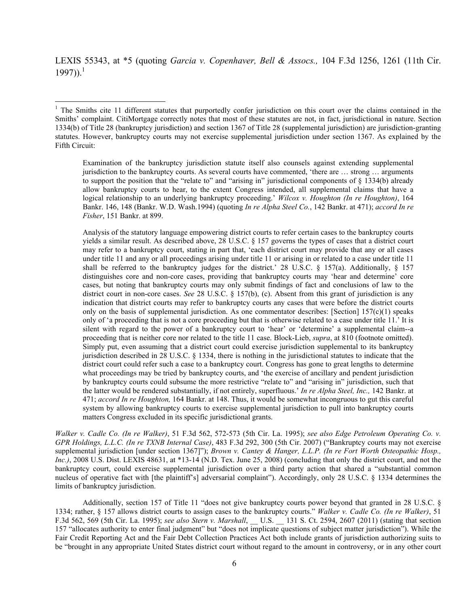LEXIS 55343, at \*5 (quoting *Garcia v. Copenhaver, Bell & Assocs.,* 104 F.3d 1256, 1261 (11th Cir.  $1997)$ ).<sup>1</sup>

!!!!!!!!!!!!!!!!!!!!!!!!!!!!!!!!!!!!!!!!!!!!!!!!!!!!!!!!!!!

Examination of the bankruptcy jurisdiction statute itself also counsels against extending supplemental jurisdiction to the bankruptcy courts. As several courts have commented, 'there are … strong … arguments to support the position that the "relate to" and "arising in" jurisdictional components of § 1334(b) already allow bankruptcy courts to hear, to the extent Congress intended, all supplemental claims that have a logical relationship to an underlying bankruptcy proceeding.' *Wilcox v. Houghton (In re Houghton)*, 164 Bankr. 146, 148 (Bankr. W.D. Wash.1994) (quoting *In re Alpha Steel Co.*, 142 Bankr. at 471); *accord In re Fisher*, 151 Bankr. at 899.

Analysis of the statutory language empowering district courts to refer certain cases to the bankruptcy courts yields a similar result. As described above, 28 U.S.C. § 157 governs the types of cases that a district court may refer to a bankruptcy court, stating in part that, 'each district court may provide that any or all cases under title 11 and any or all proceedings arising under title 11 or arising in or related to a case under title 11 shall be referred to the bankruptcy judges for the district.' 28 U.S.C. § 157(a). Additionally, § 157 distinguishes core and non-core cases, providing that bankruptcy courts may 'hear and determine' core cases, but noting that bankruptcy courts may only submit findings of fact and conclusions of law to the district court in non-core cases. *See* 28 U.S.C. § 157(b), (c). Absent from this grant of jurisdiction is any indication that district courts may refer to bankruptcy courts any cases that were before the district courts only on the basis of supplemental jurisdiction. As one commentator describes: [Section]  $157(c)(1)$  speaks only of 'a proceeding that is not a core proceeding but that is otherwise related to a case under title 11.' It is silent with regard to the power of a bankruptcy court to 'hear' or 'determine' a supplemental claim--a proceeding that is neither core nor related to the title 11 case. Block-Lieb, *supra*, at 810 (footnote omitted). Simply put, even assuming that a district court could exercise jurisdiction supplemental to its bankruptcy jurisdiction described in 28 U.S.C. § 1334, there is nothing in the jurisdictional statutes to indicate that the district court could refer such a case to a bankruptcy court. Congress has gone to great lengths to determine what proceedings may be tried by bankruptcy courts, and 'the exercise of ancillary and pendent jurisdiction by bankruptcy courts could subsume the more restrictive "relate to" and "arising in" jurisdiction, such that the latter would be rendered substantially, if not entirely, superfluous.' *In re Alpha Steel, Inc.,* 142 Bankr. at 471; *accord In re Houghton,* 164 Bankr. at 148. Thus, it would be somewhat incongruous to gut this careful system by allowing bankruptcy courts to exercise supplemental jurisdiction to pull into bankruptcy courts matters Congress excluded in its specific jurisdictional grants.

*Walker v. Cadle Co. (In re Walker)*, 51 F.3d 562, 572-573 (5th Cir. La. 1995); *see also Edge Petroleum Operating Co. v. GPR Holdings, L.L.C. (In re TXNB Internal Case)*, 483 F.3d 292, 300 (5th Cir. 2007) ("Bankruptcy courts may not exercise supplemental jurisdiction [under section 1367]"); *Brown v. Cantey & Hanger, L.L.P. (In re Fort Worth Osteopathic Hosp.,*  Inc.), 2008 U.S. Dist. LEXIS 48631, at \*13-14 (N.D. Tex. June 25, 2008) (concluding that only the district court, and not the bankruptcy court, could exercise supplemental jurisdiction over a third party action that shared a "substantial common nucleus of operative fact with [the plaintiff's] adversarial complaint"). Accordingly, only 28 U.S.C. § 1334 determines the limits of bankruptcy jurisdiction.

Additionally, section 157 of Title 11 "does not give bankruptcy courts power beyond that granted in 28 U.S.C. § 1334; rather, § 157 allows district courts to assign cases to the bankruptcy courts." *Walker v. Cadle Co. (In re Walker)*, 51 F.3d 562, 569 (5th Cir. La. 1995); *see also Stern v. Marshall*, \_\_ U.S. \_\_ 131 S. Ct. 2594, 2607 (2011) (stating that section 157 "allocates authority to enter final judgment" but "does not implicate questions of subject matter jurisdiction"). While the Fair Credit Reporting Act and the Fair Debt Collection Practices Act both include grants of jurisdiction authorizing suits to be "brought in any appropriate United States district court without regard to the amount in controversy, or in any other court

<sup>&</sup>lt;sup>1</sup> The Smiths cite 11 different statutes that purportedly confer jurisdiction on this court over the claims contained in the Smiths' complaint. CitiMortgage correctly notes that most of these statutes are not, in fact, jurisdictional in nature. Section 1334(b) of Title 28 (bankruptcy jurisdiction) and section 1367 of Title 28 (supplemental jurisdiction) are jurisdiction-granting statutes. However, bankruptcy courts may not exercise supplemental jurisdiction under section 1367. As explained by the Fifth Circuit: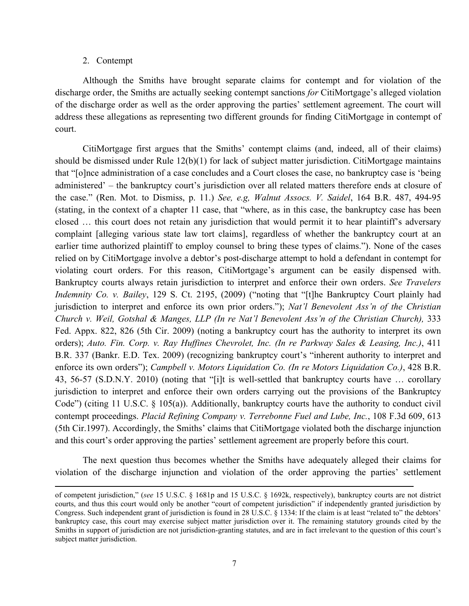#### 2. Contempt

Although the Smiths have brought separate claims for contempt and for violation of the discharge order, the Smiths are actually seeking contempt sanctions *for* CitiMortgage's alleged violation of the discharge order as well as the order approving the parties' settlement agreement. The court will address these allegations as representing two different grounds for finding CitiMortgage in contempt of court.

CitiMortgage first argues that the Smiths' contempt claims (and, indeed, all of their claims) should be dismissed under Rule  $12(b)(1)$  for lack of subject matter jurisdiction. CitiMortgage maintains that "[o]nce administration of a case concludes and a Court closes the case, no bankruptcy case is 'being administered' – the bankruptcy court's jurisdiction over all related matters therefore ends at closure of the case." (Ren. Mot. to Dismiss, p. 11.) *See, e.g, Walnut Assocs. V. Saidel*, 164 B.R. 487, 494-95 (stating, in the context of a chapter 11 case, that "where, as in this case, the bankruptcy case has been closed … this court does not retain any jurisdiction that would permit it to hear plaintiff's adversary complaint [alleging various state law tort claims], regardless of whether the bankruptcy court at an earlier time authorized plaintiff to employ counsel to bring these types of claims."). None of the cases relied on by CitiMortgage involve a debtor's post-discharge attempt to hold a defendant in contempt for violating court orders. For this reason, CitiMortgage's argument can be easily dispensed with. Bankruptcy courts always retain jurisdiction to interpret and enforce their own orders. *See Travelers Indemnity Co. v. Bailey*, 129 S. Ct. 2195, (2009) ("noting that "[t]he Bankruptcy Court plainly had jurisdiction to interpret and enforce its own prior orders."); *Nat'l Benevolent Ass'n of the Christian Church v. Weil, Gotshal & Manges, LLP (In re Nat'l Benevolent Ass'n of the Christian Church),* 333 Fed. Appx. 822, 826 (5th Cir. 2009) (noting a bankruptcy court has the authority to interpret its own orders); *Auto. Fin. Corp. v. Ray Huffines Chevrolet, Inc. (In re Parkway Sales & Leasing, Inc.)*, 411 B.R. 337 (Bankr. E.D. Tex. 2009) (recognizing bankruptcy court's "inherent authority to interpret and enforce its own orders"); *Campbell v. Motors Liquidation Co. (In re Motors Liquidation Co.)*, 428 B.R. 43, 56-57 (S.D.N.Y. 2010) (noting that "[i]t is well-settled that bankruptcy courts have … corollary jurisdiction to interpret and enforce their own orders carrying out the provisions of the Bankruptcy Code") (citing 11 U.S.C. § 105(a)). Additionally, bankruptcy courts have the authority to conduct civil contempt proceedings. *Placid Refining Company v. Terrebonne Fuel and Lube, Inc.*, 108 F.3d 609, 613 (5th Cir.1997). Accordingly, the Smiths' claims that CitiMortgage violated both the discharge injunction and this court's order approving the parties' settlement agreement are properly before this court.

The next question thus becomes whether the Smiths have adequately alleged their claims for violation of the discharge injunction and violation of the order approving the parties' settlement

!!!!!!!!!!!!!!!!!!!!!!!!!!!!!!!!!!!!!!!!!!!!!!!!!!!!!!!!!!!!!!!!!!!!!!!!!!!!!!!!!!!!!!!!!!!!!!!!!!!!!!!!!!!!!!!!!!!!!!!!!!!!!!!!!!!!!!!!!!!!!!!!!!!!!!!!!!!!!!!!!!!!!!!!!!!!!!!!!!!!!!!!!!!!!!!

of competent jurisdiction," (*see* 15 U.S.C. § 1681p and 15 U.S.C. § 1692k, respectively), bankruptcy courts are not district courts, and thus this court would only be another "court of competent jurisdiction" if independently granted jurisdiction by Congress. Such independent grant of jurisdiction is found in 28 U.S.C. § 1334: If the claim is at least "related to" the debtors' bankruptcy case, this court may exercise subject matter jurisdiction over it. The remaining statutory grounds cited by the Smiths in support of jurisdiction are not jurisdiction-granting statutes, and are in fact irrelevant to the question of this court's subject matter jurisdiction.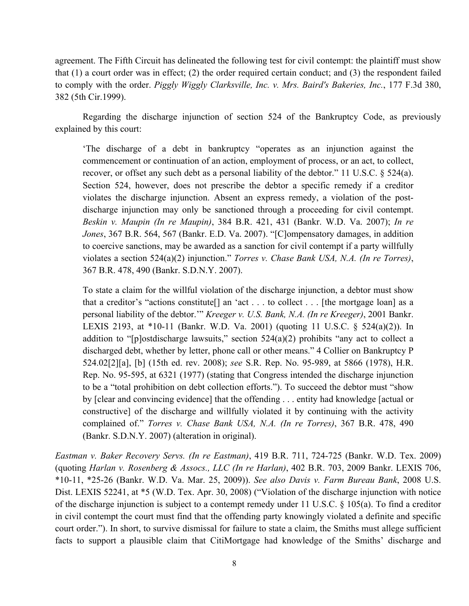agreement. The Fifth Circuit has delineated the following test for civil contempt: the plaintiff must show that (1) a court order was in effect; (2) the order required certain conduct; and (3) the respondent failed to comply with the order. *Piggly Wiggly Clarksville, Inc. v. Mrs. Baird's Bakeries, Inc.*, 177 F.3d 380, 382 (5th Cir.1999).

Regarding the discharge injunction of section 524 of the Bankruptcy Code, as previously explained by this court:

'The discharge of a debt in bankruptcy "operates as an injunction against the commencement or continuation of an action, employment of process, or an act, to collect, recover, or offset any such debt as a personal liability of the debtor." 11 U.S.C. § 524(a). Section 524, however, does not prescribe the debtor a specific remedy if a creditor violates the discharge injunction. Absent an express remedy, a violation of the postdischarge injunction may only be sanctioned through a proceeding for civil contempt. *Beskin v. Maupin (In re Maupin)*, 384 B.R. 421, 431 (Bankr. W.D. Va. 2007); *In re Jones*, 367 B.R. 564, 567 (Bankr. E.D. Va. 2007). "[C]ompensatory damages, in addition to coercive sanctions, may be awarded as a sanction for civil contempt if a party willfully violates a section 524(a)(2) injunction." *Torres v. Chase Bank USA, N.A. (In re Torres)*, 367 B.R. 478, 490 (Bankr. S.D.N.Y. 2007).

To state a claim for the willful violation of the discharge injunction, a debtor must show that a creditor's "actions constitute[] an 'act . . . to collect . . . [the mortgage loan] as a personal liability of the debtor.'" *Kreeger v. U.S. Bank, N.A. (In re Kreeger)*, 2001 Bankr. LEXIS 2193, at \*10-11 (Bankr. W.D. Va. 2001) (quoting 11 U.S.C. § 524(a)(2)). In addition to "[p]ostdischarge lawsuits," section  $524(a)(2)$  prohibits "any act to collect a discharged debt, whether by letter, phone call or other means." 4 Collier on Bankruptcy P 524.02[2][a], [b] (15th ed. rev. 2008); *see* S.R. Rep. No. 95-989, at 5866 (1978), H.R. Rep. No. 95-595, at 6321 (1977) (stating that Congress intended the discharge injunction to be a "total prohibition on debt collection efforts."). To succeed the debtor must "show by [clear and convincing evidence] that the offending . . . entity had knowledge [actual or constructive] of the discharge and willfully violated it by continuing with the activity complained of." *Torres v. Chase Bank USA, N.A. (In re Torres)*, 367 B.R. 478, 490 (Bankr. S.D.N.Y. 2007) (alteration in original).

*Eastman v. Baker Recovery Servs. (In re Eastman)*, 419 B.R. 711, 724-725 (Bankr. W.D. Tex. 2009) (quoting *Harlan v. Rosenberg & Assocs., LLC (In re Harlan)*, 402 B.R. 703, 2009 Bankr. LEXIS 706, \*10-11, \*25-26 (Bankr. W.D. Va. Mar. 25, 2009)). *See also Davis v. Farm Bureau Bank*, 2008 U.S. Dist. LEXIS 52241, at \*5 (W.D. Tex. Apr. 30, 2008) ("Violation of the discharge injunction with notice of the discharge injunction is subject to a contempt remedy under 11 U.S.C. § 105(a). To find a creditor in civil contempt the court must find that the offending party knowingly violated a definite and specific court order."). In short, to survive dismissal for failure to state a claim, the Smiths must allege sufficient facts to support a plausible claim that CitiMortgage had knowledge of the Smiths' discharge and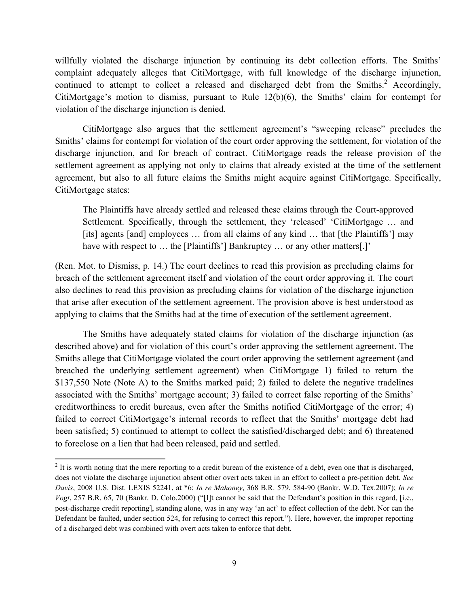willfully violated the discharge injunction by continuing its debt collection efforts. The Smiths' complaint adequately alleges that CitiMortgage, with full knowledge of the discharge injunction, continued to attempt to collect a released and discharged debt from the Smiths. $^2$  Accordingly, CitiMortgage's motion to dismiss, pursuant to Rule 12(b)(6), the Smiths' claim for contempt for violation of the discharge injunction is denied.

CitiMortgage also argues that the settlement agreement's "sweeping release" precludes the Smiths' claims for contempt for violation of the court order approving the settlement, for violation of the discharge injunction, and for breach of contract. CitiMortgage reads the release provision of the settlement agreement as applying not only to claims that already existed at the time of the settlement agreement, but also to all future claims the Smiths might acquire against CitiMortgage. Specifically, CitiMortgage states:

The Plaintiffs have already settled and released these claims through the Court-approved Settlement. Specifically, through the settlement, they 'released' 'CitiMortgage … and [its] agents [and] employees … from all claims of any kind … that [the Plaintiffs'] may have with respect to ... the [Plaintiffs'] Bankruptcy ... or any other matters[.]'

(Ren. Mot. to Dismiss, p. 14.) The court declines to read this provision as precluding claims for breach of the settlement agreement itself and violation of the court order approving it. The court also declines to read this provision as precluding claims for violation of the discharge injunction that arise after execution of the settlement agreement. The provision above is best understood as applying to claims that the Smiths had at the time of execution of the settlement agreement.

The Smiths have adequately stated claims for violation of the discharge injunction (as described above) and for violation of this court's order approving the settlement agreement. The Smiths allege that CitiMortgage violated the court order approving the settlement agreement (and breached the underlying settlement agreement) when CitiMortgage 1) failed to return the \$137,550 Note (Note A) to the Smiths marked paid; 2) failed to delete the negative tradelines associated with the Smiths' mortgage account; 3) failed to correct false reporting of the Smiths' creditworthiness to credit bureaus, even after the Smiths notified CitiMortgage of the error; 4) failed to correct CitiMortgage's internal records to reflect that the Smiths' mortgage debt had been satisfied; 5) continued to attempt to collect the satisfied/discharged debt; and 6) threatened to foreclose on a lien that had been released, paid and settled.

 $2<sup>2</sup>$  It is worth noting that the mere reporting to a credit bureau of the existence of a debt, even one that is discharged, does not violate the discharge injunction absent other overt acts taken in an effort to collect a pre-petition debt. *See Davis*, 2008 U.S. Dist. LEXIS 52241, at \*6; *In re Mahoney*, 368 B.R. 579, 584-90 (Bankr. W.D. Tex.2007); *In re Vogt*, 257 B.R. 65, 70 (Bankr. D. Colo.2000) ("[I]t cannot be said that the Defendant's position in this regard, [i.e., post-discharge credit reporting], standing alone, was in any way 'an act' to effect collection of the debt. Nor can the Defendant be faulted, under section 524, for refusing to correct this report."). Here, however, the improper reporting of a discharged debt was combined with overt acts taken to enforce that debt.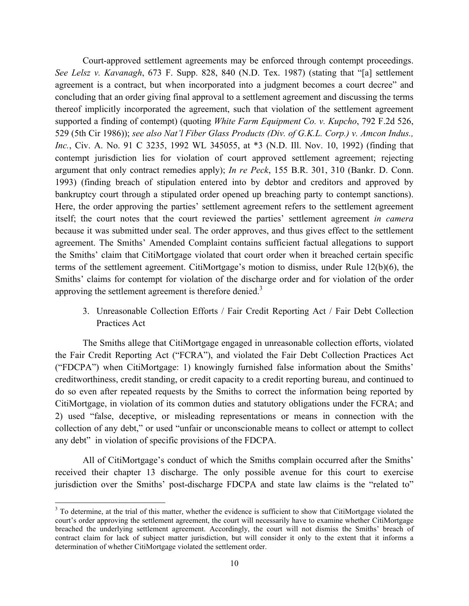Court-approved settlement agreements may be enforced through contempt proceedings. *See Lelsz v. Kavanagh*, 673 F. Supp. 828, 840 (N.D. Tex. 1987) (stating that "[a] settlement agreement is a contract, but when incorporated into a judgment becomes a court decree" and concluding that an order giving final approval to a settlement agreement and discussing the terms thereof implicitly incorporated the agreement, such that violation of the settlement agreement supported a finding of contempt) (quoting *White Farm Equipment Co. v. Kupcho*, 792 F.2d 526, 529 (5th Cir 1986)); *see also Nat'l Fiber Glass Products (Div. of G.K.L. Corp.) v. Amcon Indus., Inc.*, Civ. A. No. 91 C 3235, 1992 WL 345055, at \*3 (N.D. Ill. Nov. 10, 1992) (finding that contempt jurisdiction lies for violation of court approved settlement agreement; rejecting argument that only contract remedies apply); *In re Peck*, 155 B.R. 301, 310 (Bankr. D. Conn. 1993) (finding breach of stipulation entered into by debtor and creditors and approved by bankruptcy court through a stipulated order opened up breaching party to contempt sanctions). Here, the order approving the parties' settlement agreement refers to the settlement agreement itself; the court notes that the court reviewed the parties' settlement agreement *in camera* because it was submitted under seal. The order approves, and thus gives effect to the settlement agreement. The Smiths' Amended Complaint contains sufficient factual allegations to support the Smiths' claim that CitiMortgage violated that court order when it breached certain specific terms of the settlement agreement. CitiMortgage's motion to dismiss, under Rule 12(b)(6), the Smiths' claims for contempt for violation of the discharge order and for violation of the order approving the settlement agreement is therefore denied.<sup>3</sup>

3. Unreasonable Collection Efforts / Fair Credit Reporting Act / Fair Debt Collection Practices Act

The Smiths allege that CitiMortgage engaged in unreasonable collection efforts, violated the Fair Credit Reporting Act ("FCRA"), and violated the Fair Debt Collection Practices Act ("FDCPA") when CitiMortgage: 1) knowingly furnished false information about the Smiths' creditworthiness, credit standing, or credit capacity to a credit reporting bureau, and continued to do so even after repeated requests by the Smiths to correct the information being reported by CitiMortgage, in violation of its common duties and statutory obligations under the FCRA; and 2) used "false, deceptive, or misleading representations or means in connection with the collection of any debt," or used "unfair or unconscionable means to collect or attempt to collect any debt" in violation of specific provisions of the FDCPA.

All of CitiMortgage's conduct of which the Smiths complain occurred after the Smiths' received their chapter 13 discharge. The only possible avenue for this court to exercise jurisdiction over the Smiths' post-discharge FDCPA and state law claims is the "related to"

 $3$  To determine, at the trial of this matter, whether the evidence is sufficient to show that CitiMortgage violated the court's order approving the settlement agreement, the court will necessarily have to examine whether CitiMortgage breached the underlying settlement agreement. Accordingly, the court will not dismiss the Smiths' breach of contract claim for lack of subject matter jurisdiction, but will consider it only to the extent that it informs a determination of whether CitiMortgage violated the settlement order.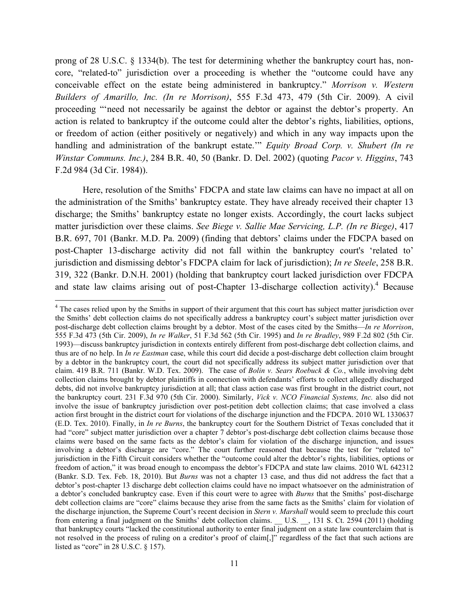prong of 28 U.S.C. § 1334(b). The test for determining whether the bankruptcy court has, noncore, "related-to" jurisdiction over a proceeding is whether the "outcome could have any conceivable effect on the estate being administered in bankruptcy." *Morrison v. Western Builders of Amarillo, Inc. (In re Morrison)*, 555 F.3d 473, 479 (5th Cir. 2009). A civil proceeding "'need not necessarily be against the debtor or against the debtor's property. An action is related to bankruptcy if the outcome could alter the debtor's rights, liabilities, options, or freedom of action (either positively or negatively) and which in any way impacts upon the handling and administration of the bankrupt estate.'" *Equity Broad Corp. v. Shubert (In re Winstar Communs. Inc.)*, 284 B.R. 40, 50 (Bankr. D. Del. 2002) (quoting *Pacor v. Higgins*, 743 F.2d 984 (3d Cir. 1984)).

Here, resolution of the Smiths' FDCPA and state law claims can have no impact at all on the administration of the Smiths' bankruptcy estate. They have already received their chapter 13 discharge; the Smiths' bankruptcy estate no longer exists. Accordingly, the court lacks subject matter jurisdiction over these claims. *See Biege v. Sallie Mae Servicing, L.P. (In re Biege)*, 417 B.R. 697, 701 (Bankr. M.D. Pa. 2009) (finding that debtors' claims under the FDCPA based on post-Chapter 13-discharge activity did not fall within the bankruptcy court's 'related to' jurisdiction and dismissing debtor's FDCPA claim for lack of jurisdiction); *In re Steele*, 258 B.R. 319, 322 (Bankr. D.N.H. 2001) (holding that bankruptcy court lacked jurisdiction over FDCPA and state law claims arising out of post-Chapter 13-discharge collection activity).<sup>4</sup> Because

<sup>&</sup>lt;sup>4</sup> The cases relied upon by the Smiths in support of their argument that this court has subject matter jurisdiction over the Smiths' debt collection claims do not specifically address a bankruptcy court's subject matter jurisdiction over post-discharge debt collection claims brought by a debtor. Most of the cases cited by the Smiths—*In re Morrison*, 555 F.3d 473 (5th Cir. 2009), *In re Walker*, 51 F.3d 562 (5th Cir. 1995) and *In re Bradley*, 989 F.2d 802 (5th Cir. 1993)—discuss bankruptcy jurisdiction in contexts entirely different from post-discharge debt collection claims, and thus are of no help. In *In re Eastman* case, while this court did decide a post-discharge debt collection claim brought by a debtor in the bankruptcy court, the court did not specifically address its subject matter jurisdiction over that claim. 419 B.R. 711 (Bankr. W.D. Tex. 2009). The case of *Bolin v. Sears Roebuck & Co.*, while involving debt collection claims brought by debtor plaintiffs in connection with defendants' efforts to collect allegedly discharged debts, did not involve bankruptcy jurisdiction at all; that class action case was first brought in the district court, not the bankruptcy court. 231 F.3d 970 (5th Cir. 2000). Similarly, *Vick v. NCO Financial Systems, Inc.* also did not involve the issue of bankruptcy jurisdiction over post-petition debt collection claims; that case involved a class action first brought in the district court for violations of the discharge injunction and the FDCPA. 2010 WL 1330637 (E.D. Tex. 2010). Finally, in *In re Burns*, the bankruptcy court for the Southern District of Texas concluded that it had "core" subject matter jurisdiction over a chapter 7 debtor's post-discharge debt collection claims because those claims were based on the same facts as the debtor's claim for violation of the discharge injunction, and issues involving a debtor's discharge are "core." The court further reasoned that because the test for "related to" jurisdiction in the Fifth Circuit considers whether the "outcome could alter the debtor's rights, liabilities, options or freedom of action," it was broad enough to encompass the debtor's FDCPA and state law claims. 2010 WL 642312 (Bankr. S.D. Tex. Feb. 18, 2010). But *Burns* was not a chapter 13 case, and thus did not address the fact that a debtor's post-chapter 13 discharge debt collection claims could have no impact whatsoever on the administration of a debtor's concluded bankruptcy case. Even if this court were to agree with *Burns* that the Smiths' post-discharge debt collection claims are "core" claims because they arise from the same facts as the Smiths' claim for violation of the discharge injunction, the Supreme Court's recent decision in *Stern v. Marshall* would seem to preclude this court from entering a final judgment on the Smiths' debt collection claims. \_\_ U.S. \_\_, 131 S. Ct. 2594 (2011) (holding that bankruptcy courts "lacked the constitutional authority to enter final judgment on a state law counterclaim that is not resolved in the process of ruling on a creditor's proof of claim[,]" regardless of the fact that such actions are listed as "core" in 28 U.S.C. § 157).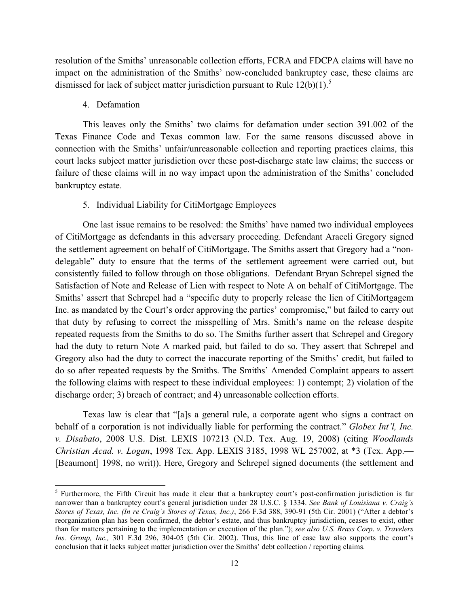resolution of the Smiths' unreasonable collection efforts, FCRA and FDCPA claims will have no impact on the administration of the Smiths' now-concluded bankruptcy case, these claims are dismissed for lack of subject matter jurisdiction pursuant to Rule  $12(b)(1)$ .<sup>5</sup>

#### 4. Defamation

!!!!!!!!!!!!!!!!!!!!!!!!!!!!!!!!!!!!!!!!!!!!!!!!!!!!!!!!!!!

This leaves only the Smiths' two claims for defamation under section 391.002 of the Texas Finance Code and Texas common law. For the same reasons discussed above in connection with the Smiths' unfair/unreasonable collection and reporting practices claims, this court lacks subject matter jurisdiction over these post-discharge state law claims; the success or failure of these claims will in no way impact upon the administration of the Smiths' concluded bankruptcy estate.

#### 5. Individual Liability for CitiMortgage Employees

One last issue remains to be resolved: the Smiths' have named two individual employees of CitiMortgage as defendants in this adversary proceeding. Defendant Araceli Gregory signed the settlement agreement on behalf of CitiMortgage. The Smiths assert that Gregory had a "nondelegable" duty to ensure that the terms of the settlement agreement were carried out, but consistently failed to follow through on those obligations. Defendant Bryan Schrepel signed the Satisfaction of Note and Release of Lien with respect to Note A on behalf of CitiMortgage. The Smiths' assert that Schrepel had a "specific duty to properly release the lien of CitiMortgagem Inc. as mandated by the Court's order approving the parties' compromise," but failed to carry out that duty by refusing to correct the misspelling of Mrs. Smith's name on the release despite repeated requests from the Smiths to do so. The Smiths further assert that Schrepel and Gregory had the duty to return Note A marked paid, but failed to do so. They assert that Schrepel and Gregory also had the duty to correct the inaccurate reporting of the Smiths' credit, but failed to do so after repeated requests by the Smiths. The Smiths' Amended Complaint appears to assert the following claims with respect to these individual employees: 1) contempt; 2) violation of the discharge order; 3) breach of contract; and 4) unreasonable collection efforts.

Texas law is clear that "[a]s a general rule, a corporate agent who signs a contract on behalf of a corporation is not individually liable for performing the contract." *Globex Int'l, Inc. v. Disabato*, 2008 U.S. Dist. LEXIS 107213 (N.D. Tex. Aug. 19, 2008) (citing *Woodlands Christian Acad. v. Logan*, 1998 Tex. App. LEXIS 3185, 1998 WL 257002, at \*3 (Tex. App.— [Beaumont] 1998, no writ)). Here, Gregory and Schrepel signed documents (the settlement and

<sup>&</sup>lt;sup>5</sup> Furthermore, the Fifth Circuit has made it clear that a bankruptcy court's post-confirmation jurisdiction is far narrower than a bankruptcy court's general jurisdiction under 28 U.S.C. § 1334. *See Bank of Louisiana v. Craig's Stores of Texas, Inc. (In re Craig's Stores of Texas, Inc.)*, 266 F.3d 388, 390-91 (5th Cir. 2001) ("After a debtor's reorganization plan has been confirmed, the debtor's estate, and thus bankruptcy jurisdiction, ceases to exist, other than for matters pertaining to the implementation or execution of the plan."); *see also U.S. Brass Corp*. *v. Travelers Ins. Group, Inc.,* 301 F.3d 296, 304-05 (5th Cir. 2002). Thus, this line of case law also supports the court's conclusion that it lacks subject matter jurisdiction over the Smiths' debt collection / reporting claims.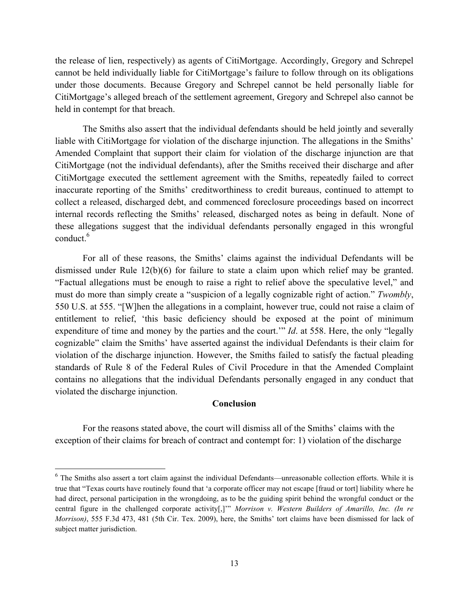the release of lien, respectively) as agents of CitiMortgage. Accordingly, Gregory and Schrepel cannot be held individually liable for CitiMortgage's failure to follow through on its obligations under those documents. Because Gregory and Schrepel cannot be held personally liable for CitiMortgage's alleged breach of the settlement agreement, Gregory and Schrepel also cannot be held in contempt for that breach.

The Smiths also assert that the individual defendants should be held jointly and severally liable with CitiMortgage for violation of the discharge injunction. The allegations in the Smiths' Amended Complaint that support their claim for violation of the discharge injunction are that CitiMortgage (not the individual defendants), after the Smiths received their discharge and after CitiMortgage executed the settlement agreement with the Smiths, repeatedly failed to correct inaccurate reporting of the Smiths' creditworthiness to credit bureaus, continued to attempt to collect a released, discharged debt, and commenced foreclosure proceedings based on incorrect internal records reflecting the Smiths' released, discharged notes as being in default. None of these allegations suggest that the individual defendants personally engaged in this wrongful conduct. 6

For all of these reasons, the Smiths' claims against the individual Defendants will be dismissed under Rule 12(b)(6) for failure to state a claim upon which relief may be granted. "Factual allegations must be enough to raise a right to relief above the speculative level," and must do more than simply create a "suspicion of a legally cognizable right of action." *Twombly*, 550 U.S. at 555. "[W]hen the allegations in a complaint, however true, could not raise a claim of entitlement to relief, 'this basic deficiency should be exposed at the point of minimum expenditure of time and money by the parties and the court.'" *Id*. at 558. Here, the only "legally cognizable" claim the Smiths' have asserted against the individual Defendants is their claim for violation of the discharge injunction. However, the Smiths failed to satisfy the factual pleading standards of Rule 8 of the Federal Rules of Civil Procedure in that the Amended Complaint contains no allegations that the individual Defendants personally engaged in any conduct that violated the discharge injunction.

### **Conclusion**

For the reasons stated above, the court will dismiss all of the Smiths' claims with the exception of their claims for breach of contract and contempt for: 1) violation of the discharge

<sup>&</sup>lt;sup>6</sup> The Smiths also assert a tort claim against the individual Defendants—unreasonable collection efforts. While it is true that "Texas courts have routinely found that 'a corporate officer may not escape [fraud or tort] liability where he had direct, personal participation in the wrongdoing, as to be the guiding spirit behind the wrongful conduct or the central figure in the challenged corporate activity[,]'" *Morrison v. Western Builders of Amarillo, Inc. (In re Morrison*), 555 F.3d 473, 481 (5th Cir. Tex. 2009), here, the Smiths' tort claims have been dismissed for lack of subject matter jurisdiction.